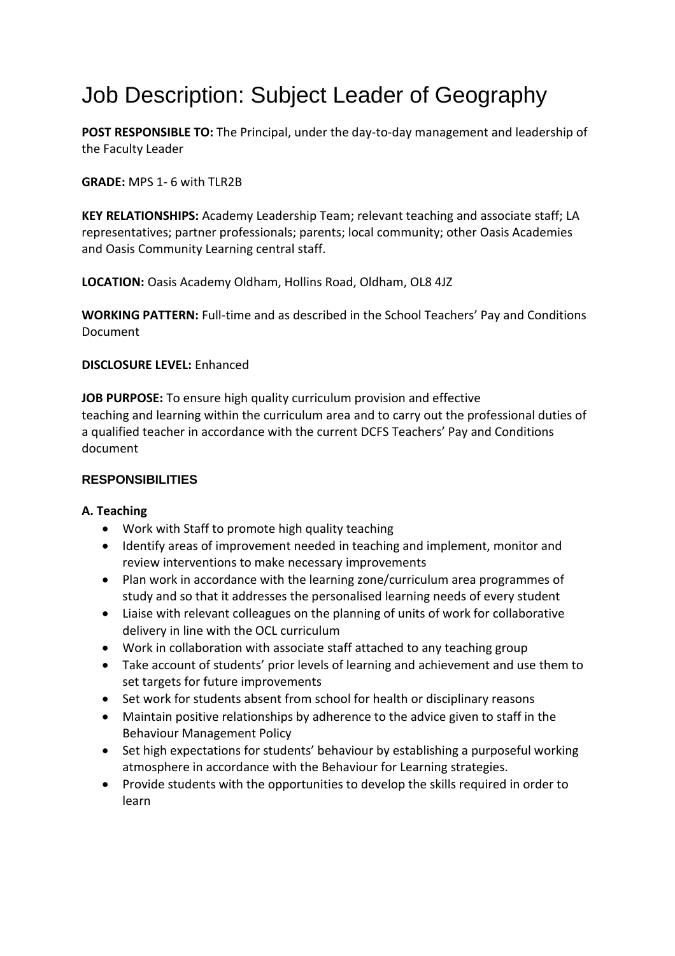# Job Description: Subject Leader of Geography

**POST RESPONSIBLE TO:** The Principal, under the day-to-day management and leadership of the Faculty Leader

## **GRADE:** MPS 1-6 with TLR2B

**KEY RELATIONSHIPS:** Academy Leadership Team; relevant teaching and associate staff; LA representatives; partner professionals; parents; local community; other Oasis Academies and Oasis Community Learning central staff.

**LOCATION:** Oasis Academy Oldham, Hollins Road, Oldham, OL8 4JZ

**WORKING PATTERN:** Full-time and as described in the School Teachers' Pay and Conditions Document

#### **DISCLOSURE LEVEL:** Enhanced

**JOB PURPOSE:** To ensure high quality curriculum provision and effective teaching and learning within the curriculum area and to carry out the professional duties of a qualified teacher in accordance with the current DCFS Teachers' Pay and Conditions document

#### **RESPONSIBILITIES**

#### **A. Teaching**

- Work with Staff to promote high quality teaching
- Identify areas of improvement needed in teaching and implement, monitor and review interventions to make necessary improvements
- Plan work in accordance with the learning zone/curriculum area programmes of study and so that it addresses the personalised learning needs of every student
- Liaise with relevant colleagues on the planning of units of work for collaborative delivery in line with the OCL curriculum
- Work in collaboration with associate staff attached to any teaching group
- Take account of students' prior levels of learning and achievement and use them to set targets for future improvements
- Set work for students absent from school for health or disciplinary reasons
- Maintain positive relationships by adherence to the advice given to staff in the Behaviour Management Policy
- Set high expectations for students' behaviour by establishing a purposeful working atmosphere in accordance with the Behaviour for Learning strategies.
- Provide students with the opportunities to develop the skills required in order to learn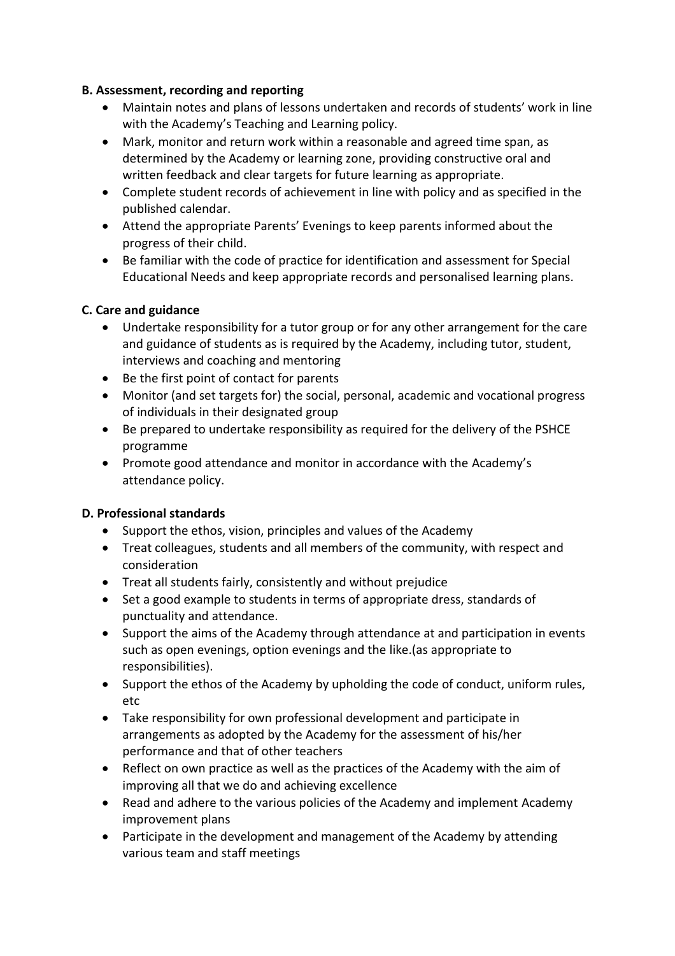## **B. Assessment, recording and reporting**

- Maintain notes and plans of lessons undertaken and records of students' work in line with the Academy's Teaching and Learning policy.
- Mark, monitor and return work within a reasonable and agreed time span, as determined by the Academy or learning zone, providing constructive oral and written feedback and clear targets for future learning as appropriate.
- Complete student records of achievement in line with policy and as specified in the published calendar.
- Attend the appropriate Parents' Evenings to keep parents informed about the progress of their child.
- Be familiar with the code of practice for identification and assessment for Special Educational Needs and keep appropriate records and personalised learning plans.

## **C. Care and guidance**

- Undertake responsibility for a tutor group or for any other arrangement for the care and guidance of students as is required by the Academy, including tutor, student, interviews and coaching and mentoring
- Be the first point of contact for parents
- Monitor (and set targets for) the social, personal, academic and vocational progress of individuals in their designated group
- Be prepared to undertake responsibility as required for the delivery of the PSHCE programme
- Promote good attendance and monitor in accordance with the Academy's attendance policy.

## **D. Professional standards**

- Support the ethos, vision, principles and values of the Academy
- Treat colleagues, students and all members of the community, with respect and consideration
- Treat all students fairly, consistently and without prejudice
- Set a good example to students in terms of appropriate dress, standards of punctuality and attendance.
- Support the aims of the Academy through attendance at and participation in events such as open evenings, option evenings and the like.(as appropriate to responsibilities).
- Support the ethos of the Academy by upholding the code of conduct, uniform rules, etc
- Take responsibility for own professional development and participate in arrangements as adopted by the Academy for the assessment of his/her performance and that of other teachers
- Reflect on own practice as well as the practices of the Academy with the aim of improving all that we do and achieving excellence
- Read and adhere to the various policies of the Academy and implement Academy improvement plans
- Participate in the development and management of the Academy by attending various team and staff meetings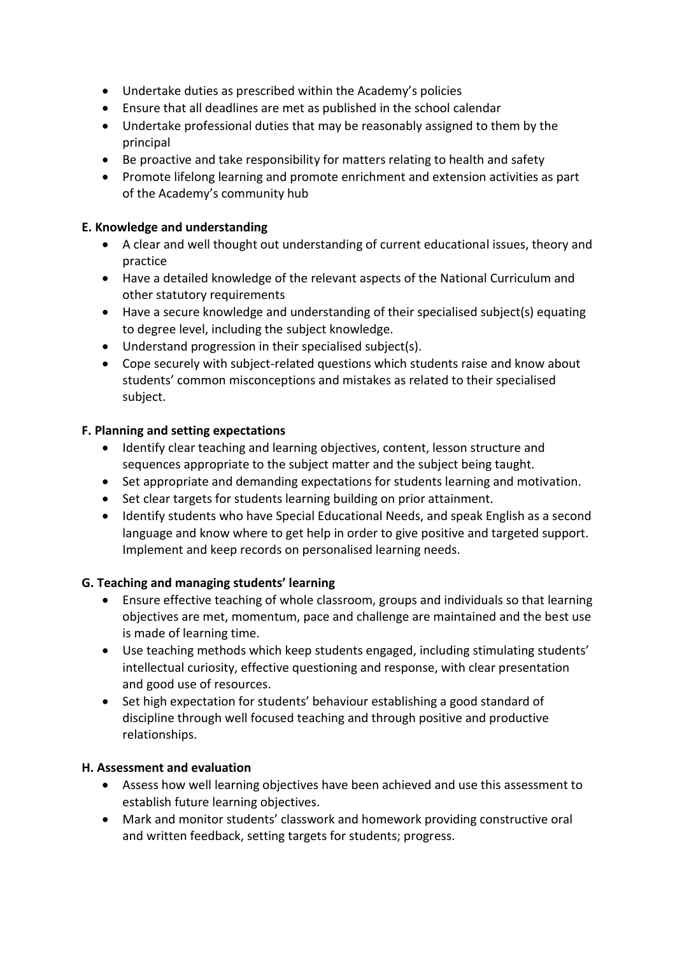- Undertake duties as prescribed within the Academy's policies
- Ensure that all deadlines are met as published in the school calendar
- Undertake professional duties that may be reasonably assigned to them by the principal
- Be proactive and take responsibility for matters relating to health and safety
- Promote lifelong learning and promote enrichment and extension activities as part of the Academy's community hub

## **E. Knowledge and understanding**

- A clear and well thought out understanding of current educational issues, theory and practice
- Have a detailed knowledge of the relevant aspects of the National Curriculum and other statutory requirements
- Have a secure knowledge and understanding of their specialised subject(s) equating to degree level, including the subject knowledge.
- Understand progression in their specialised subject(s).
- Cope securely with subject-related questions which students raise and know about students' common misconceptions and mistakes as related to their specialised subject.

#### **F. Planning and setting expectations**

- Identify clear teaching and learning objectives, content, lesson structure and sequences appropriate to the subject matter and the subject being taught.
- Set appropriate and demanding expectations for students learning and motivation.
- Set clear targets for students learning building on prior attainment.
- Identify students who have Special Educational Needs, and speak English as a second language and know where to get help in order to give positive and targeted support. Implement and keep records on personalised learning needs.

#### **G. Teaching and managing students' learning**

- Ensure effective teaching of whole classroom, groups and individuals so that learning objectives are met, momentum, pace and challenge are maintained and the best use is made of learning time.
- Use teaching methods which keep students engaged, including stimulating students' intellectual curiosity, effective questioning and response, with clear presentation and good use of resources.
- Set high expectation for students' behaviour establishing a good standard of discipline through well focused teaching and through positive and productive relationships.

#### **H. Assessment and evaluation**

- Assess how well learning objectives have been achieved and use this assessment to establish future learning objectives.
- Mark and monitor students' classwork and homework providing constructive oral and written feedback, setting targets for students; progress.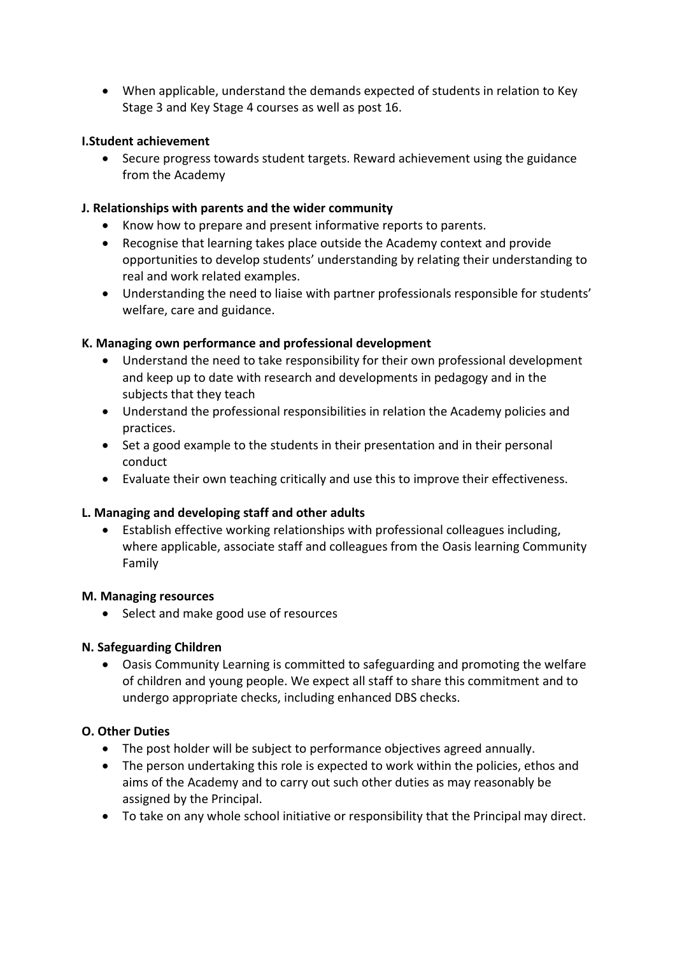• When applicable, understand the demands expected of students in relation to Key Stage 3 and Key Stage 4 courses as well as post 16.

#### **I.Student achievement**

• Secure progress towards student targets. Reward achievement using the guidance from the Academy

## **J. Relationships with parents and the wider community**

- Know how to prepare and present informative reports to parents.
- Recognise that learning takes place outside the Academy context and provide opportunities to develop students' understanding by relating their understanding to real and work related examples.
- Understanding the need to liaise with partner professionals responsible for students' welfare, care and guidance.

#### **K. Managing own performance and professional development**

- Understand the need to take responsibility for their own professional development and keep up to date with research and developments in pedagogy and in the subjects that they teach
- Understand the professional responsibilities in relation the Academy policies and practices.
- Set a good example to the students in their presentation and in their personal conduct
- Evaluate their own teaching critically and use this to improve their effectiveness.

#### **L. Managing and developing staff and other adults**

• Establish effective working relationships with professional colleagues including, where applicable, associate staff and colleagues from the Oasis learning Community Family

#### **M. Managing resources**

• Select and make good use of resources

## **N. Safeguarding Children**

• Oasis Community Learning is committed to safeguarding and promoting the welfare of children and young people. We expect all staff to share this commitment and to undergo appropriate checks, including enhanced DBS checks.

## **O. Other Duties**

- The post holder will be subject to performance objectives agreed annually.
- The person undertaking this role is expected to work within the policies, ethos and aims of the Academy and to carry out such other duties as may reasonably be assigned by the Principal.
- To take on any whole school initiative or responsibility that the Principal may direct.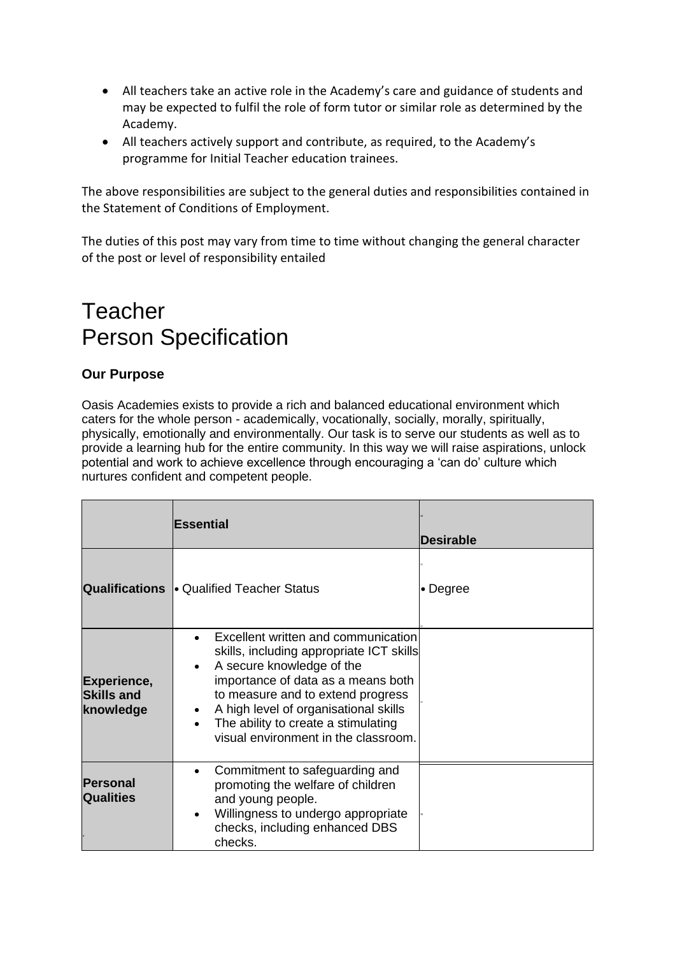- All teachers take an active role in the Academy's care and guidance of students and may be expected to fulfil the role of form tutor or similar role as determined by the Academy.
- All teachers actively support and contribute, as required, to the Academy's programme for Initial Teacher education trainees.

The above responsibilities are subject to the general duties and responsibilities contained in the Statement of Conditions of Employment.

The duties of this post may vary from time to time without changing the general character of the post or level of responsibility entailed

## Teacher Person Specification

## **Our Purpose**

Oasis Academies exists to provide a rich and balanced educational environment which caters for the whole person - academically, vocationally, socially, morally, spiritually, physically, emotionally and environmentally. Our task is to serve our students as well as to provide a learning hub for the entire community. In this way we will raise aspirations, unlock potential and work to achieve excellence through encouraging a 'can do' culture which nurtures confident and competent people.

|                                               | <b>Essential</b>                                                                                                                                                                                                                                                                                                  | <b>Desirable</b> |
|-----------------------------------------------|-------------------------------------------------------------------------------------------------------------------------------------------------------------------------------------------------------------------------------------------------------------------------------------------------------------------|------------------|
|                                               | <b>Qualifications • Qualified Teacher Status</b>                                                                                                                                                                                                                                                                  | • Degree         |
| Experience,<br><b>Skills and</b><br>knowledge | Excellent written and communication<br>skills, including appropriate ICT skills<br>A secure knowledge of the<br>importance of data as a means both<br>to measure and to extend progress<br>• A high level of organisational skills<br>The ability to create a stimulating<br>visual environment in the classroom. |                  |
| <b>Personal</b><br><b>Qualities</b>           | Commitment to safeguarding and<br>promoting the welfare of children<br>and young people.<br>Willingness to undergo appropriate<br>checks, including enhanced DBS<br>checks.                                                                                                                                       |                  |